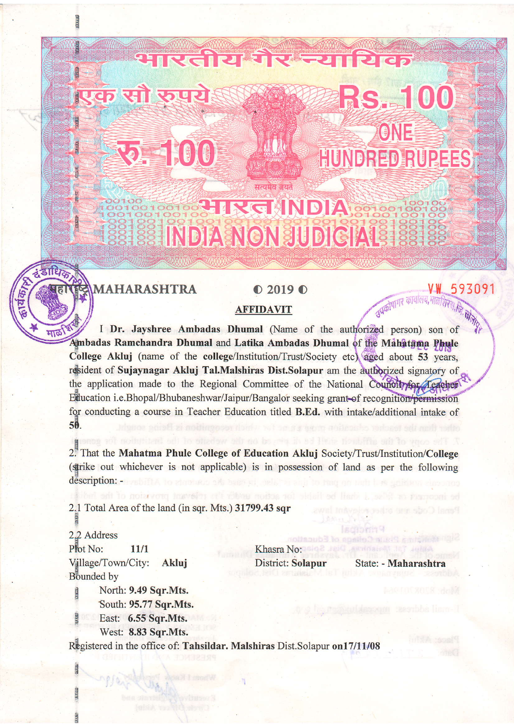## **PIRGHNDIA** INDIA NON JUDICIALS

सत्यमेव जयते

रतीय गं

**MAHARASHTRA** 

मार्ळ

क सौ रुप

**22. 1010** 

## $\bullet$  2019 $\bullet$

## **AFFIDAVIT**

I Dr. Jayshree Ambadas Dhumal (Name of the authorized person) son of Ambadas Ramchandra Dhumal and Latika Ambadas Dhumal of the Mahatama Phule College Akluj (name of the college/Institution/Trust/Society etc) aged about 53 years, resident of Sujaynagar Akluj Tal.Malshiras Dist.Solapur am the authorized signatory of the application made to the Regional Committee of the National Council for Teacher Education i.e.Bhopal/Bhubaneshwar/Jaipur/Bangalor seeking grant of recognition/permission for conducting a course in Teacher Education titled B.Ed. with intake/additional intake of 50.

2. That the Mahatma Phule College of Education Akluj Society/Trust/Institution/College (strike out whichever is not applicable) is in possession of land as per the following description: -

2.1 Total Area of the land (in sqr. Mts.) 31799.43 sqr

ma maveint off ribou nois

2.2 Address Plot No: 11/1 Village/Town/City: Akluj Bounded by

Khasra No: District: Solapur

State: - Maharashtra

ur schomn<sup>q</sup>

RS. 100

ONE

HUNDRED RUPEES

V W

उपकोषागर कार्यालय, मालशिरज, हि

593091

North: 9.49 Sqr.Mts. South: 95.77 Sqr.Mts. East: 6.55 Sqr.Mts.

West: 8.83 Sqr.Mts.

Registered in the office of: Tahsildar. Malshiras Dist.Solapur on17/11/08